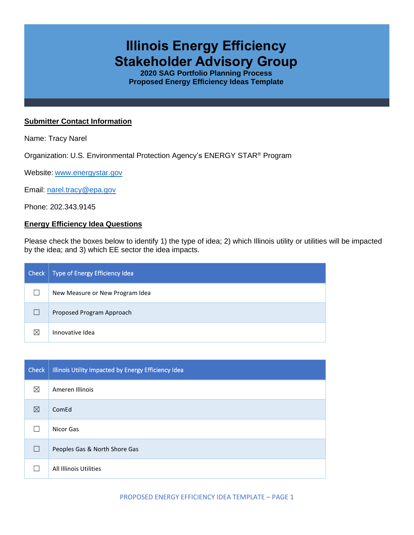# **Illinois Energy Efficiency Stakeholder Advisory Group**

**2020 SAG Portfolio Planning Process Proposed Energy Efficiency Ideas Template**

#### **Submitter Contact Information**

Name: Tracy Narel

Organization: U.S. Environmental Protection Agency's ENERGY STAR® Program

Website: [www.energystar.gov](http://www.energystar.gov/)

Email: [narel.tracy@epa.gov](mailto:narel.tracy@epa.gov)

Phone: 202.343.9145

## **Energy Efficiency Idea Questions**

Please check the boxes below to identify 1) the type of idea; 2) which Illinois utility or utilities will be impacted by the idea; and 3) which EE sector the idea impacts.

| Check | Type of Energy Efficiency Idea  |
|-------|---------------------------------|
|       | New Measure or New Program Idea |
|       | Proposed Program Approach       |
| ⊠     | Innovative Idea                 |

| Check | Illinois Utility Impacted by Energy Efficiency Idea |
|-------|-----------------------------------------------------|
| ⊠     | Ameren Illinois                                     |
| ⊠     | ComEd                                               |
|       | Nicor Gas                                           |
|       | Peoples Gas & North Shore Gas                       |
|       | All Illinois Utilities                              |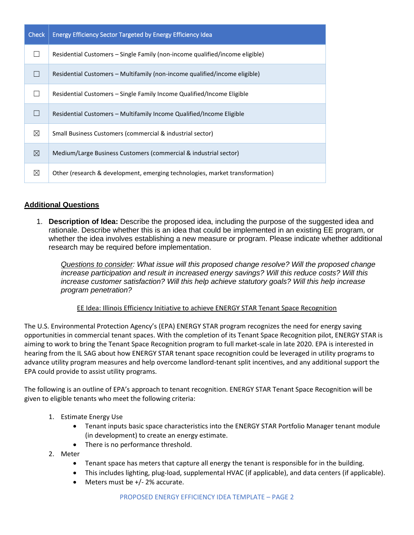| <b>Check</b> | Energy Efficiency Sector Targeted by Energy Efficiency Idea                  |
|--------------|------------------------------------------------------------------------------|
|              | Residential Customers – Single Family (non-income qualified/income eligible) |
|              | Residential Customers – Multifamily (non-income qualified/income eligible)   |
|              | Residential Customers - Single Family Income Qualified/Income Eligible       |
|              | Residential Customers – Multifamily Income Qualified/Income Eligible         |
| $\boxtimes$  | Small Business Customers (commercial & industrial sector)                    |
| ⊠            | Medium/Large Business Customers (commercial & industrial sector)             |
| ⊠            | Other (research & development, emerging technologies, market transformation) |

## **Additional Questions**

1. **Description of Idea:** Describe the proposed idea, including the purpose of the suggested idea and rationale. Describe whether this is an idea that could be implemented in an existing EE program, or whether the idea involves establishing a new measure or program. Please indicate whether additional research may be required before implementation.

*Questions to consider: What issue will this proposed change resolve? Will the proposed change increase participation and result in increased energy savings? Will this reduce costs? Will this increase customer satisfaction? Will this help achieve statutory goals? Will this help increase program penetration?* 

EE Idea: Illinois Efficiency Initiative to achieve ENERGY STAR Tenant Space Recognition

The U.S. Environmental Protection Agency's (EPA) ENERGY STAR program recognizes the need for energy saving opportunities in commercial tenant spaces. With the completion of its Tenant Space Recognition pilot, ENERGY STAR is aiming to work to bring the Tenant Space Recognition program to full market-scale in late 2020. EPA is interested in hearing from the IL SAG about how ENERGY STAR tenant space recognition could be leveraged in utility programs to advance utility program measures and help overcome landlord-tenant split incentives, and any additional support the EPA could provide to assist utility programs.

The following is an outline of EPA's approach to tenant recognition. ENERGY STAR Tenant Space Recognition will be given to eligible tenants who meet the following criteria:

- 1. Estimate Energy Use
	- Tenant inputs basic space characteristics into the ENERGY STAR Portfolio Manager tenant module (in development) to create an energy estimate.
	- There is no performance threshold.
- 2. Meter
	- Tenant space has meters that capture all energy the tenant is responsible for in the building.
	- This includes lighting, plug-load, supplemental HVAC (if applicable), and data centers (if applicable).
	- Meters must be +/- 2% accurate.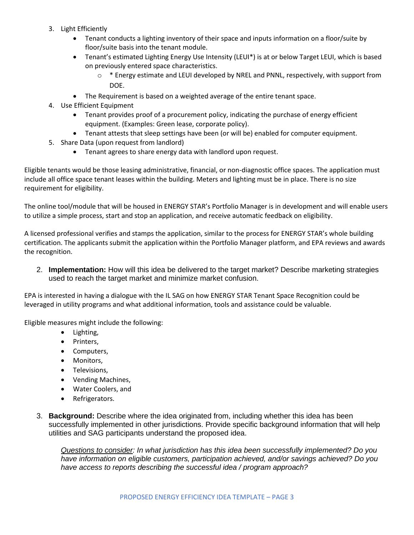- 3. Light Efficiently
	- Tenant conducts a lighting inventory of their space and inputs information on a floor/suite by floor/suite basis into the tenant module.
	- Tenant's estimated Lighting Energy Use Intensity (LEUI\*) is at or below Target LEUI, which is based on previously entered space characteristics.
		- $\circ$  \* Energy estimate and LEUI developed by NREL and PNNL, respectively, with support from DOE.
	- The Requirement is based on a weighted average of the entire tenant space.
- 4. Use Efficient Equipment
	- Tenant provides proof of a procurement policy, indicating the purchase of energy efficient equipment. (Examples: Green lease, corporate policy).
	- Tenant attests that sleep settings have been (or will be) enabled for computer equipment.
- 5. Share Data (upon request from landlord)
	- Tenant agrees to share energy data with landlord upon request.

Eligible tenants would be those leasing administrative, financial, or non-diagnostic office spaces. The application must include all office space tenant leases within the building. Meters and lighting must be in place. There is no size requirement for eligibility.

The online tool/module that will be housed in ENERGY STAR's Portfolio Manager is in development and will enable users to utilize a simple process, start and stop an application, and receive automatic feedback on eligibility.

A licensed professional verifies and stamps the application, similar to the process for ENERGY STAR's whole building certification. The applicants submit the application within the Portfolio Manager platform, and EPA reviews and awards the recognition.

2. **Implementation:** How will this idea be delivered to the target market? Describe marketing strategies used to reach the target market and minimize market confusion.

EPA is interested in having a dialogue with the IL SAG on how ENERGY STAR Tenant Space Recognition could be leveraged in utility programs and what additional information, tools and assistance could be valuable.

Eligible measures might include the following:

- Lighting,
- Printers,
- Computers,
- Monitors,
- Televisions,
- Vending Machines,
- Water Coolers, and
- Refrigerators.
- 3. **Background:** Describe where the idea originated from, including whether this idea has been successfully implemented in other jurisdictions. Provide specific background information that will help utilities and SAG participants understand the proposed idea.

*Questions to consider: In what jurisdiction has this idea been successfully implemented? Do you have information on eligible customers, participation achieved, and/or savings achieved? Do you have access to reports describing the successful idea / program approach?*